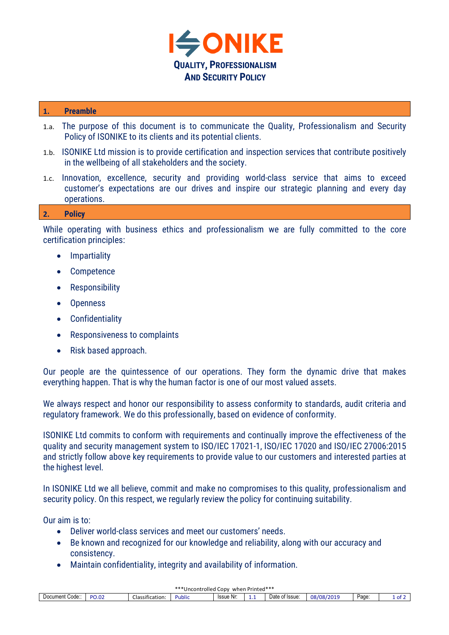

## **1. Preamble**

- 1.a. The purpose of this document is to communicate the Quality, Professionalism and Security Policy of ISONIKE to its clients and its potential clients.
- 1.b. ISONIKE Ltd mission is to provide certification and inspection services that contribute positively in the wellbeing of all stakeholders and the society.
- 1.c. Innovation, excellence, security and providing world-class service that aims to exceed customer's expectations are our drives and inspire our strategic planning and every day operations.

## **2. Policy**

While operating with business ethics and professionalism we are fully committed to the core certification principles:

- Impartiality
- Competence
- Responsibility
- Openness
- Confidentiality
- Responsiveness to complaints
- Risk based approach.

Our people are the quintessence of our operations. They form the dynamic drive that makes everything happen. That is why the human factor is one of our most valued assets.

We always respect and honor our responsibility to assess conformity to standards, audit criteria and regulatory framework. We do this professionally, based on evidence of conformity.

ISONIKE Ltd commits to conform with requirements and continually improve the effectiveness of the quality and security management system to ISO/IEC 17021-1, ISO/IEC 17020 and ISO/IEC 27006:2015 and strictly follow above key requirements to provide value to our customers and interested parties at the highest level.

In ISONIKE Ltd we all believe, commit and make no compromises to this quality, professionalism and security policy. On this respect, we regularly review the policy for continuing suitability.

Our aim is to:

- Deliver world-class services and meet our customers' needs.
- Be known and recognized for our knowledge and reliability, along with our accuracy and consistency.
- Maintain confidentiality, integrity and availability of information.

| uen Printed***<br>***Uncontrolled Copy<br>when P |                                                  |                                |        |           |   |                      |            |      |       |  |  |
|--------------------------------------------------|--------------------------------------------------|--------------------------------|--------|-----------|---|----------------------|------------|------|-------|--|--|
| Code:<br>Document                                | $\sim$ $\sim$ $\sim$<br>DC <sub>1</sub><br>7U.U∠ | $\sim$<br>.<br>Classification: | Public | Issue Nr: | . | Date of<br>of Issue: | 08/08/2019 | Page | ∡of ⊺ |  |  |